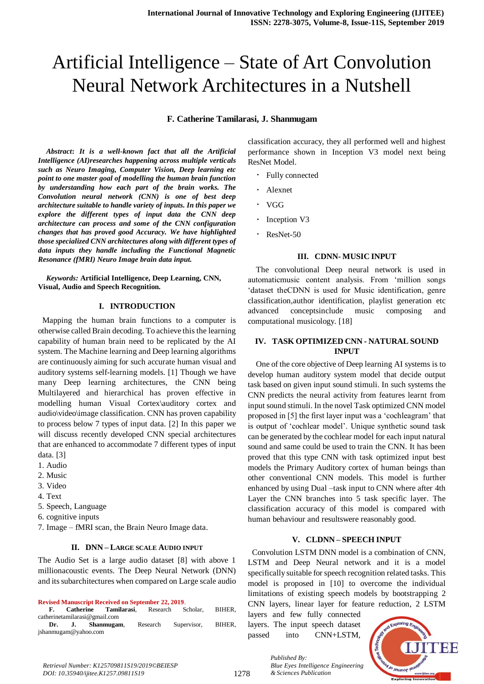# Artificial Intelligence – State of Art Convolution Neural Network Architectures in a Nutshell

**F. Catherine Tamilarasi, J. Shanmugam**

*Abstract***:** *It is a well-known fact that all the Artificial Intelligence (AI)researches happening across multiple verticals such as Neuro Imaging, Computer Vision, Deep learning etc point to one master goal of modelling the human brain function by understanding how each part of the brain works. The Convolution neural network (CNN) is one of best deep architecture suitable to handle variety of inputs. In this paper we explore the different types of input data the CNN deep architecture can process and some of the CNN configuration changes that has proved good Accuracy. We have highlighted those specialized CNN architectures along with different types of data inputs they handle including the Functional Magnetic Resonance (fMRI) Neuro Image brain data input.*

*Keywords:* **Artificial Intelligence, Deep Learning, CNN, Visual, Audio and Speech Recognition***.*

#### **I. INTRODUCTION**

 Mapping the human brain functions to a computer is otherwise called Brain decoding. To achieve this the learning capability of human brain need to be replicated by the AI system. The Machine learning and Deep learning algorithms are continuously aiming for such accurate human visual and auditory systems self-learning models. [1] Though we have many Deep learning architectures, the CNN being Multilayered and hierarchical has proven effective in modelling human Visual Cortex\auditory cortex and audio\video\image classification. CNN has proven capability to process below 7 types of input data. [2] In this paper we will discuss recently developed CNN special architectures that are enhanced to accommodate 7 different types of input data. [3]

- 1. Audio
- 2. Music
- 3. Video
- 4. Text
- 5. Speech, Language
- 6. cognitive inputs

7. Image – fMRI scan, the Brain Neuro Image data.

#### **II. DNN – LARGE SCALE AUDIO INPUT**

The Audio Set is a large audio dataset [8] with above 1 millionacoustic events. The Deep Neural Network (DNN) and its subarchitectures when compared on Large scale audio

**Revised Manuscript Received on September 22, 2019**.

**F. Catherine Tamilarasi**, Research Scholar, BIHER, catherinetamilarasi@gmail.com **Dr. J. Shanmugam**, Research Supervisor, BIHER,

jshanmugam@yahoo.com

classification accuracy, they all performed well and highest performance shown in Inception V3 model next being ResNet Model.

- Fully connected
- Alexnet
- VGG
- Inception V3
- ResNet-50

#### **III. CDNN- MUSIC INPUT**

The convolutional Deep neural network is used in automaticmusic content analysis. From 'million songs 'dataset theCDNN is used for Music identification, genre classification,author identification, playlist generation etc advanced conceptsinclude music composing and computational musicology. [18]

### **IV. TASK OPTIMIZED CNN - NATURAL SOUND INPUT**

One of the core objective of Deep learning AI systems is to develop human auditory system model that decide output task based on given input sound stimuli. In such systems the CNN predicts the neural activity from features learnt from input sound stimuli. In the novel Task optimized CNN model proposed in [5] the first layer input was a 'cochleagram' that is output of 'cochlear model'. Unique synthetic sound task can be generated by the cochlear model for each input natural sound and same could be used to train the CNN. It has been proved that this type CNN with task optimized input best models the Primary Auditory cortex of human beings than other conventional CNN models. This model is further enhanced by using Dual –task input to CNN where after 4th Layer the CNN branches into 5 task specific layer. The classification accuracy of this model is compared with human behaviour and resultswere reasonably good.

#### **V. CLDNN – SPEECH INPUT**

 Convolution LSTM DNN model is a combination of CNN, LSTM and Deep Neural network and it is a model specifically suitable for speech recognition related tasks. This model is proposed in [10] to overcome the individual limitations of existing speech models by bootstrapping 2 CNN layers, linear layer for feature reduction, 2 LSTM

layers and few fully connected layers. The input speech dataset passed into CNN+LSTM,

*& Sciences Publication* 

*Blue Eyes Intelligence Engineering* 

*Published By:*



*Retrieval Number: K125709811S19/2019©BEIESP DOI: 10.35940/ijitee.K1257.09811S19*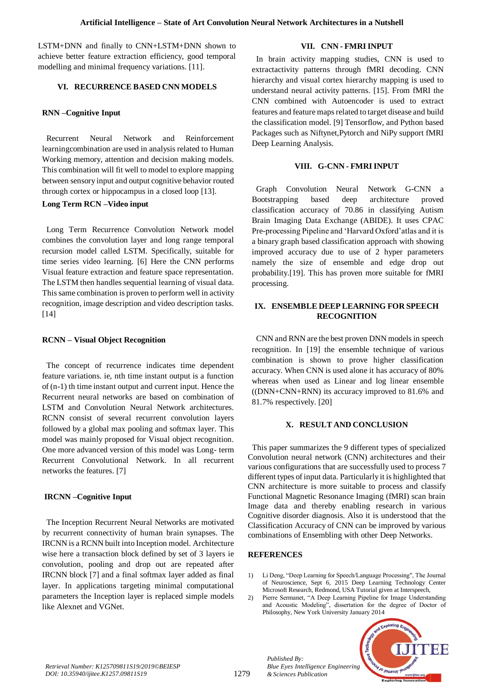LSTM+DNN and finally to CNN+LSTM+DNN shown to achieve better feature extraction efficiency, good temporal modelling and minimal frequency variations. [11].

## **VI. RECURRENCE BASED CNN MODELS**

## **RNN –Cognitive Input**

 Recurrent Neural Network and Reinforcement learningcombination are used in analysis related to Human Working memory, attention and decision making models. This combination will fit well to model to explore mapping between sensory input and output cognitive behavior routed through cortex or hippocampus in a closed loop [13].

### **Long Term RCN –Video input**

 Long Term Recurrence Convolution Network model combines the convolution layer and long range temporal recursion model called LSTM. Specifically, suitable for time series video learning. [6] Here the CNN performs Visual feature extraction and feature space representation. The LSTM then handles sequential learning of visual data. This same combination is proven to perform well in activity recognition, image description and video description tasks. [14]

## **RCNN – Visual Object Recognition**

 The concept of recurrence indicates time dependent feature variations. ie, nth time instant output is a function of (n-1) th time instant output and current input. Hence the Recurrent neural networks are based on combination of LSTM and Convolution Neural Network architectures. RCNN consist of several recurrent convolution layers followed by a global max pooling and softmax layer. This model was mainly proposed for Visual object recognition. One more advanced version of this model was Long- term Recurrent Convolutional Network. In all recurrent networks the features. [7]

## **IRCNN –Cognitive Input**

 The Inception Recurrent Neural Networks are motivated by recurrent connectivity of human brain synapses. The IRCNN is a RCNN built into Inception model. Architecture wise here a transaction block defined by set of 3 layers ie convolution, pooling and drop out are repeated after IRCNN block [7] and a final softmax layer added as final layer. In applications targeting minimal computational parameters the Inception layer is replaced simple models like Alexnet and VGNet.

## **VII. CNN - FMRIINPUT**

 In brain activity mapping studies, CNN is used to extractactivity patterns through fMRI decoding. CNN hierarchy and visual cortex hierarchy mapping is used to understand neural activity patterns. [15]. From fMRI the CNN combined with Autoencoder is used to extract features and feature maps related to target disease and build the classification model. [9] Tensorflow, and Python based Packages such as Niftynet,Pytorch and NiPy support fMRI Deep Learning Analysis.

## **VIII. G-CNN - FMRIINPUT**

 Graph Convolution Neural Network G-CNN a Bootstrapping based deep architecture proved classification accuracy of 70.86 in classifying Autism Brain Imaging Data Exchange (ABIDE). It uses CPAC Pre-processing Pipeline and 'Harvard Oxford'atlas and it is a binary graph based classification approach with showing improved accuracy due to use of 2 hyper parameters namely the size of ensemble and edge drop out probability.[19]. This has proven more suitable for fMRI processing.

## **IX. ENSEMBLE DEEP LEARNING FOR SPEECH RECOGNITION**

 CNN and RNN are the best proven DNN models in speech recognition. In [19] the ensemble technique of various combination is shown to prove higher classification accuracy. When CNN is used alone it has accuracy of 80% whereas when used as Linear and log linear ensemble ((DNN+CNN+RNN) its accuracy improved to 81.6% and 81.7% respectively. [20]

## **X. RESULT AND CONCLUSION**

 This paper summarizes the 9 different types of specialized Convolution neural network (CNN) architectures and their various configurations that are successfully used to process 7 different types of input data. Particularly it is highlighted that CNN architecture is more suitable to process and classify Functional Magnetic Resonance Imaging (fMRI) scan brain Image data and thereby enabling research in various Cognitive disorder diagnosis. Also it is understood that the Classification Accuracy of CNN can be improved by various combinations of Ensembling with other Deep Networks.

## **REFERENCES**

*Published By:*

*& Sciences Publication* 

*Blue Eyes Intelligence Engineering* 

1) Li Deng, "Deep Learning for Speech/Language Processing", The Journal of Neuroscience, Sept 6, 2015 Deep Learning Technology Center Microsoft Research, Redmond, USA Tutorial given at Interspeech,

2) Pierre Sermanet, "A Deep Learning Pipeline for Image Understanding and Acoustic Modeling", dissertation for the degree of Doctor of Philosophy, New York University January 2014



*Retrieval Number: K125709811S19/2019©BEIESP DOI: 10.35940/ijitee.K1257.09811S19*